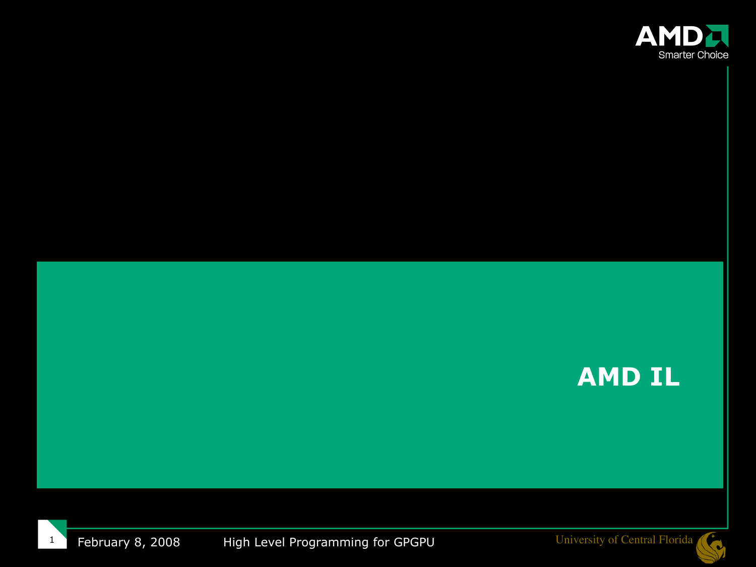

#### **AMD IL**

February 8, 2008 High Level Programming for GPGPU University of Central Florida 1

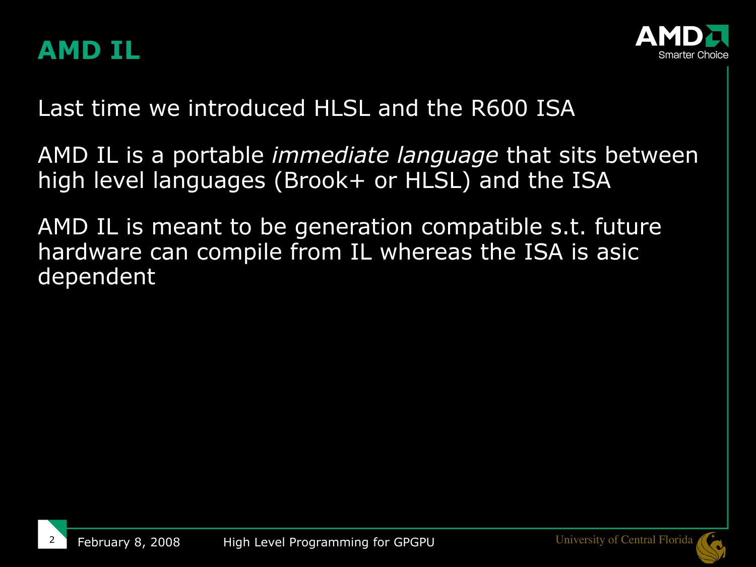



Last time we introduced HLSL and the R600 ISA

AMD IL is a portable *immediate language* that sits between high level languages (Brook+ or HLSL) and the ISA

AMD IL is meant to be generation compatible s.t. future hardware can compile from IL whereas the ISA is asic dependent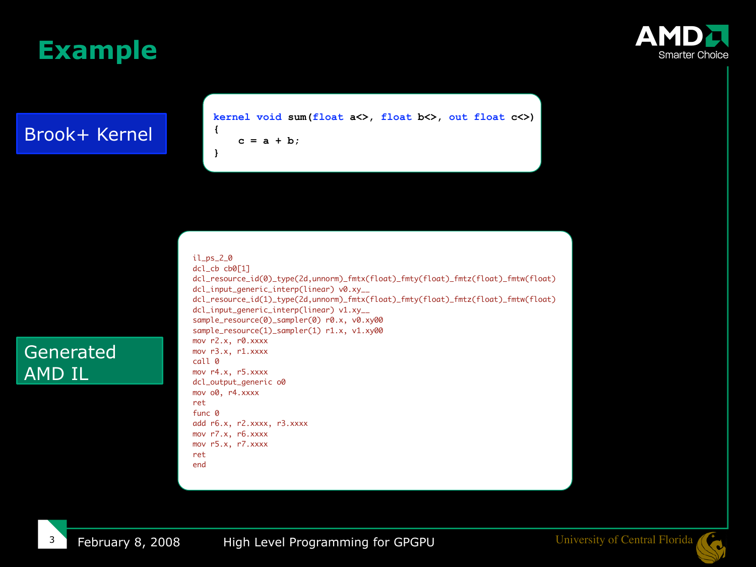### **Example**

#### Brook+ Kernel

**kernel void sum(float a<>, float b<>, out float c<>) {**

 **c = a + b;**

#### il\_ps\_2\_0

**}**

dcl\_cb cb0[1] dcl\_resource\_id(0)\_type(2d,unnorm)\_fmtx(float)\_fmty(float)\_fmtz(float)\_fmtw(float) dcl\_input\_generic\_interp(linear) v0.xy\_\_ dcl\_resource\_id(1)\_type(2d,unnorm)\_fmtx(float)\_fmty(float)\_fmtz(float)\_fmtw(float) dcl\_input\_generic\_interp(linear) v1.xy\_\_ sample\_resource(0)\_sampler(0) r0.x, v0.xy00 sample\_resource(1)\_sampler(1) r1.x, v1.xy00 mov r2.x, r0.xxxx mov r3.x, r1.xxxx call 0 mov r4.x, r5.xxxx dcl\_output\_generic o0 mov o0, r4.xxxx ret func 0 add r6.x, r2.xxxx, r3.xxxx mov r7.x, r6.xxxx mov r5.x, r7.xxxx

ret end

3

Generated

AMD IL



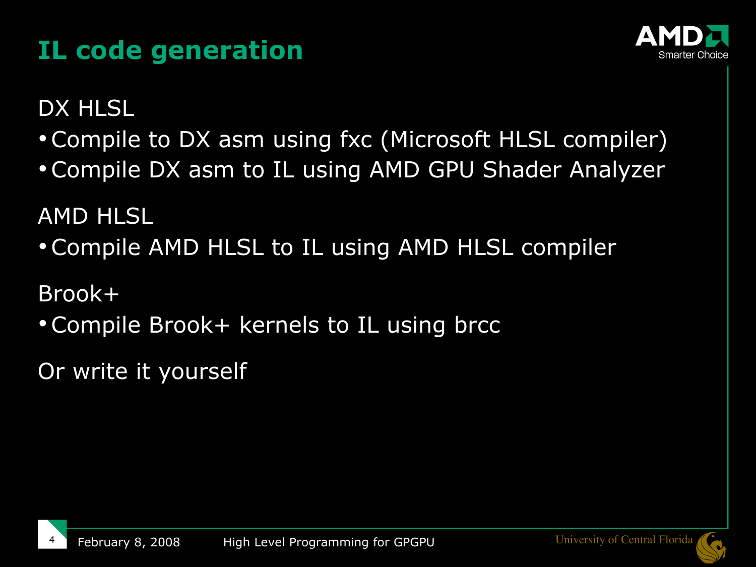# **IL code generation**



DX HLSL

- Compile to DX asm using fxc (Microsoft HLSL compiler)
- Compile DX asm to IL using AMD GPU Shader Analyzer

AMD HLSL

Compile AMD HLSL to IL using AMD HLSL compiler

Brook+

Compile Brook+ kernels to IL using brcc

Or write it yourself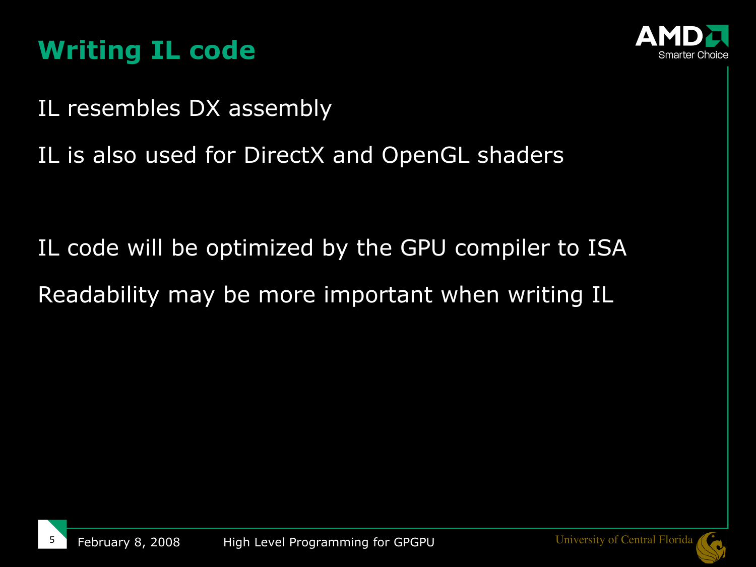## **Writing IL code**



IL resembles DX assembly

IL is also used for DirectX and OpenGL shaders

IL code will be optimized by the GPU compiler to ISA Readability may be more important when writing IL

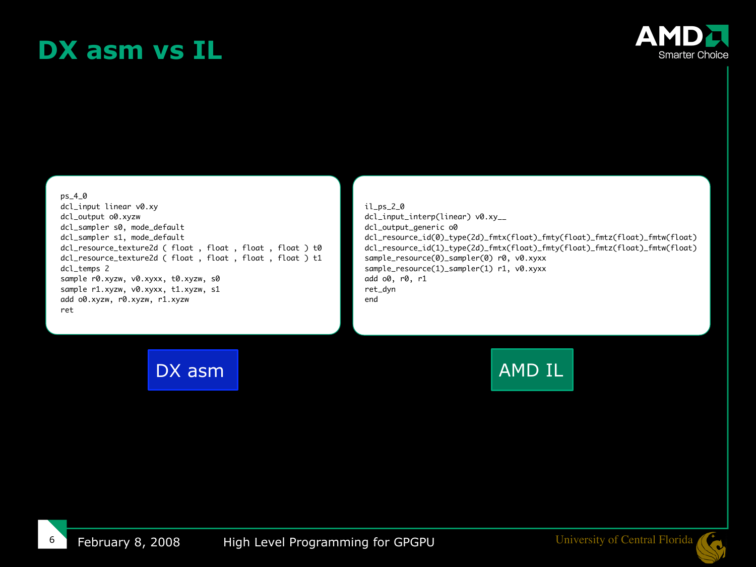### **DX asm vs IL**



#### ps\_4\_0

dcl\_input linear v0.xy dcl\_output o0.xyzw dcl\_sampler s0, mode\_default dcl\_sampler s1, mode\_default dcl\_resource\_texture2d ( float , float , float , float ) t0 dcl\_resource\_texture2d ( float , float , float , float ) t1 dcl\_temps 2 sample r0.xyzw, v0.xyxx, t0.xyzw, s0 sample r1.xyzw, v0.xyxx, t1.xyzw, s1 add o0.xyzw, r0.xyzw, r1.xyzw ret

il\_ps\_2\_0 dcl\_input\_interp(linear) v0.xy\_\_ dcl\_output\_generic o0 dcl\_resource\_id(0)\_type(2d)\_fmtx(float)\_fmty(float)\_fmtz(float)\_fmtw(float) dcl\_resource\_id(1)\_type(2d)\_fmtx(float)\_fmty(float)\_fmtz(float)\_fmtw(float) sample\_resource(0)\_sampler(0) r0, v0.xyxx sample\_resource(1)\_sampler(1) r1, v0.xyxx add o0, r0, r1 ret\_dyn end

DX asm AMD IL

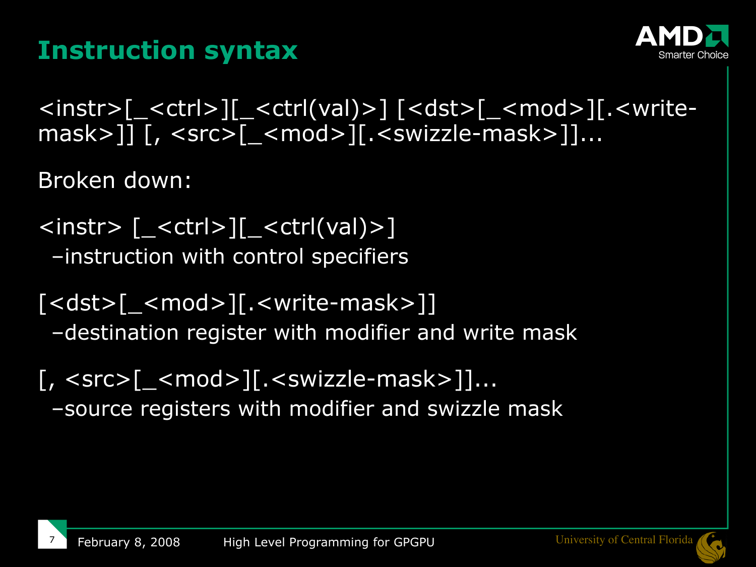## **Instruction syntax**



<instr>[\_<ctrl>][\_<ctrl(val)>] [<dst>[\_<mod>][.<writemask>]] [, <src>[\_<mod>][.<swizzle-mask>]]...

Broken down:

7

- $\langle$  <instr>  $\langle$   $\langle$  < ctrl> $\rangle$   $\langle$  < ctrl(val) >  $\rangle$ –instruction with control specifiers
- [<dst>[\_<mod>][.<write-mask>]] –destination register with modifier and write mask
- [, <src>[\_<mod>][.<swizzle-mask>]]... –source registers with modifier and swizzle mask

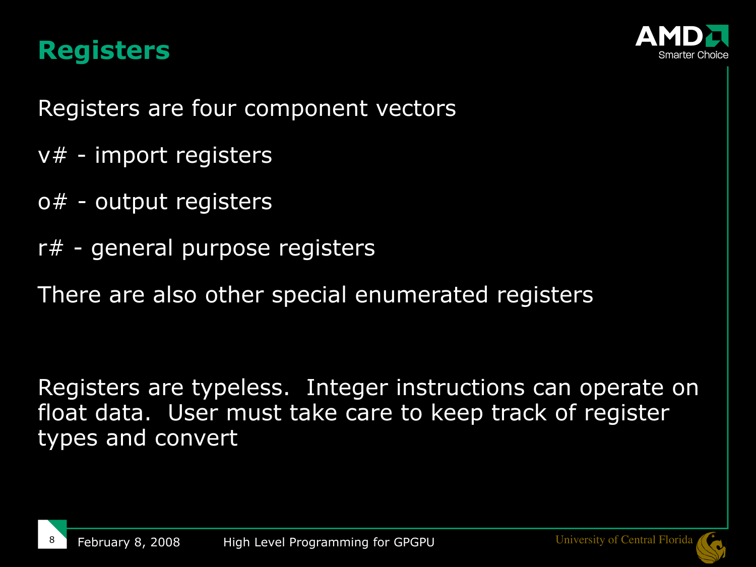#### **Registers**



Registers are four component vectors

- $v#$  import registers
- o# output registers
- r# general purpose registers
- There are also other special enumerated registers

Registers are typeless. Integer instructions can operate on float data. User must take care to keep track of register types and convert

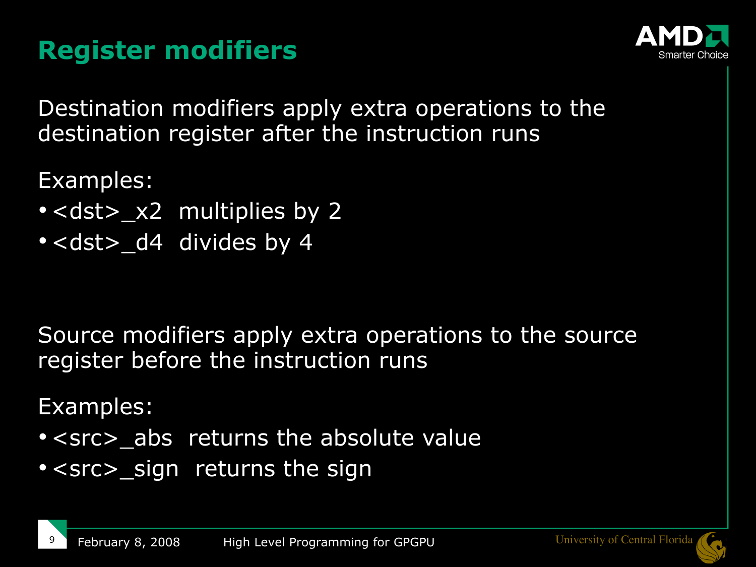## **Register modifiers**



Destination modifiers apply extra operations to the destination register after the instruction runs

Examples:

- $\cdot$  <dst> $\_\times$ 2 multiplies by 2
- <dst> d4 divides by 4

Source modifiers apply extra operations to the source register before the instruction runs

Examples:

- <src> abs returns the absolute value
- <src> sign returns the sign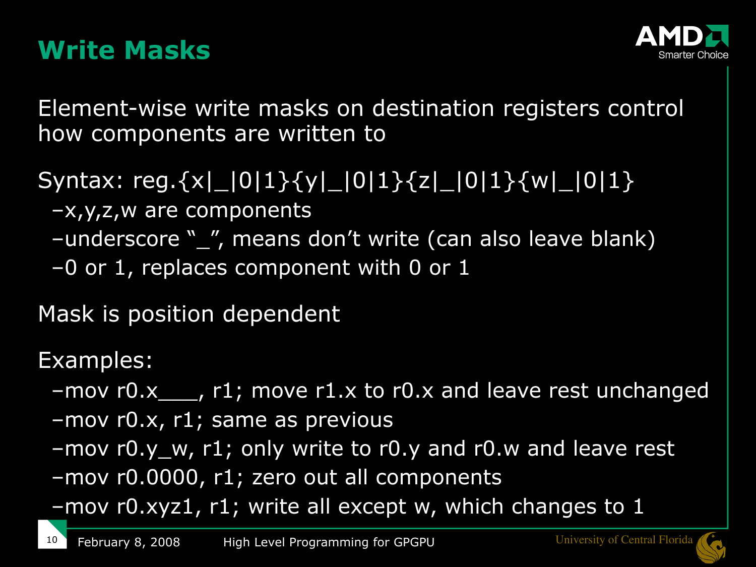### **Write Masks**



Element-wise write masks on destination registers control how components are written to

Syntax: reg.{x|\_|0|1}{y|\_|0|1}{z|\_|0|1}{w|\_|0|1}

- –x,y,z,w are components
- –underscore "\_", means don't write (can also leave blank)
- $-0$  or 1, replaces component with 0 or 1

Mask is position dependent

Examples:

- –mov r0.x\_\_\_, r1; move r1.x to r0.x and leave rest unchanged
- –mov r0.x, r1; same as previous
- –mov r0.y\_w, r1; only write to r0.y and r0.w and leave rest
- –mov r0.0000, r1; zero out all components
- –mov r0.xyz1, r1; write all except w, which changes to 1

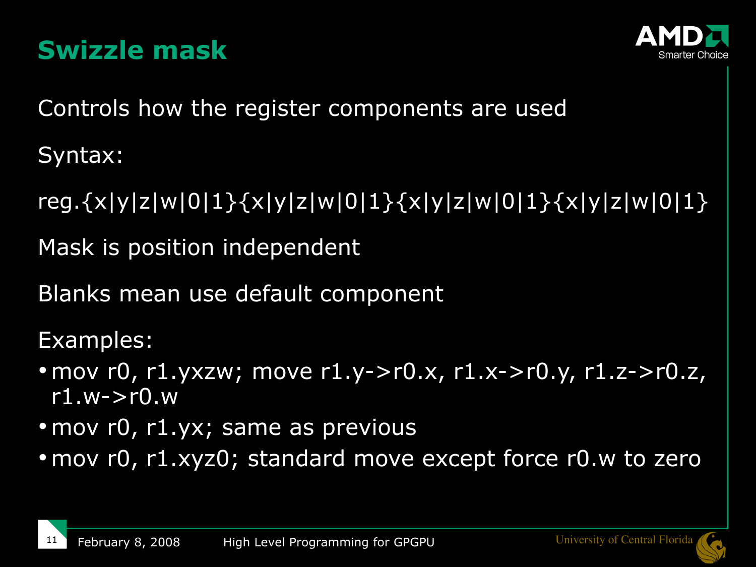



Controls how the register components are used

Syntax:

reg.{x|y|z|w|0|1}{x|y|z|w|0|1}{x|y|z|w|0|1}{x|y|z|w|0|1}

Mask is position independent

Blanks mean use default component

Examples:

- mov r0, r1.yxzw; move r1.y->r0.x, r1.x->r0.y, r1.z->r0.z,  $r1.w\rightarrow r0.w$
- mov r0, r1.yx; same as previous
- mov r0, r1.xyz0; standard move except force r0.w to zero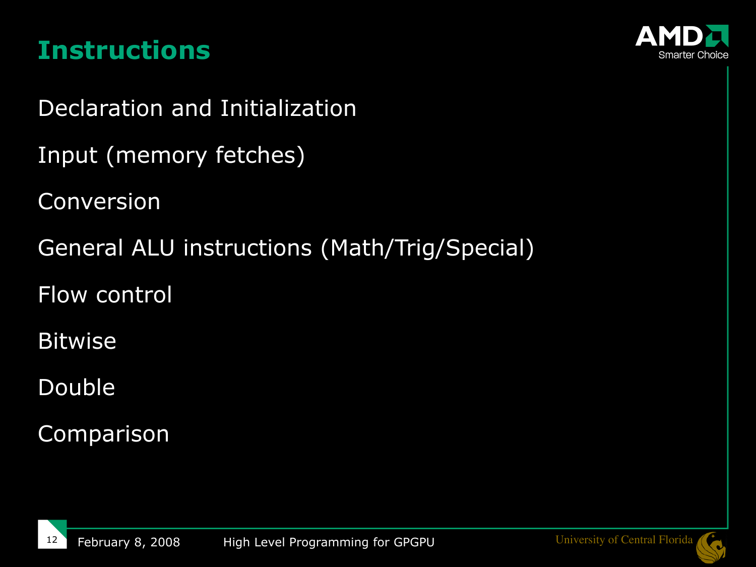### **Instructions**



Declaration and Initialization

Input (memory fetches)

Conversion

General ALU instructions (Math/Trig/Special)

Flow control

Bitwise

Double

Comparison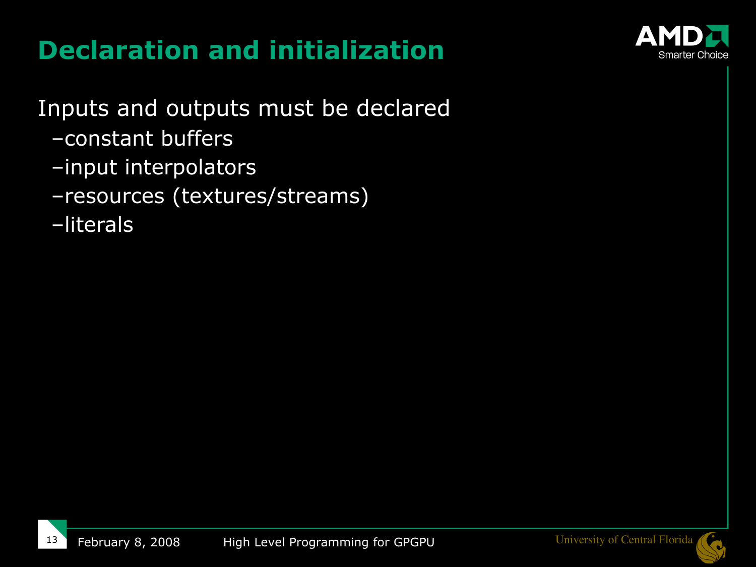# **Declaration and initialization**



Inputs and outputs must be declared

- –constant buffers
- –input interpolators
- –resources (textures/streams)
- –literals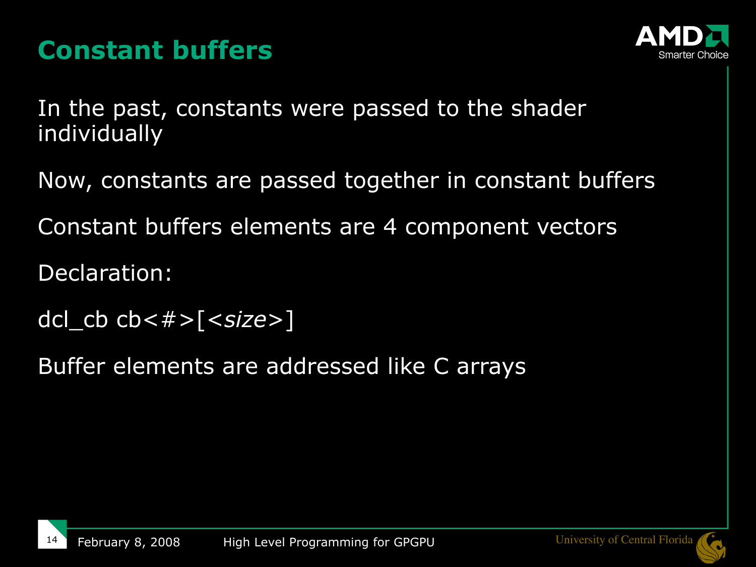## **Constant buffers**



In the past, constants were passed to the shader individually

Now, constants are passed together in constant buffers

Constant buffers elements are 4 component vectors

Declaration:

dcl\_cb cb<#>[<*size*>]

Buffer elements are addressed like C arrays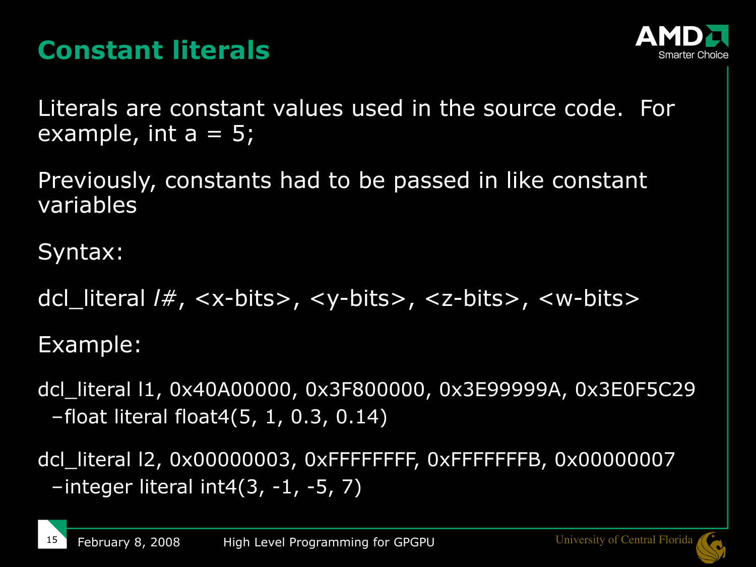## **Constant literals**



Literals are constant values used in the source code. For example, int  $a = 5$ ;

Previously, constants had to be passed in like constant variables

Syntax:

dcl\_literal *l#*, <x-bits>, <y-bits>, <z-bits>, <w-bits>

Example:

dcl\_literal l1, 0x40A00000, 0x3F800000, 0x3E99999A, 0x3E0F5C29 –float literal float4(5, 1, 0.3, 0.14)

dcl\_literal l2, 0x00000003, 0xFFFFFFFF, 0xFFFFFFFB, 0x00000007  $-$ integer literal int4 $(3, -1, -5, 7)$ 

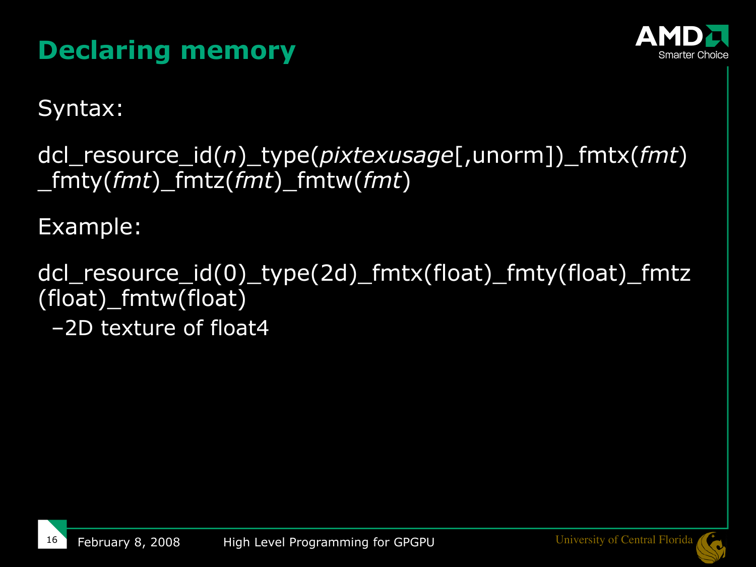# **Declaring memory**



Syntax:

dcl\_resource\_id(*n*)\_type(*pixtexusage*[,unorm])\_fmtx(*fmt*) \_fmty(*fmt*)\_fmtz(*fmt*)\_fmtw(*fmt*)

Example:

dcl\_resource\_id(0)\_type(2d)\_fmtx(float)\_fmty(float)\_fmtz (float)\_fmtw(float) –2D texture of float4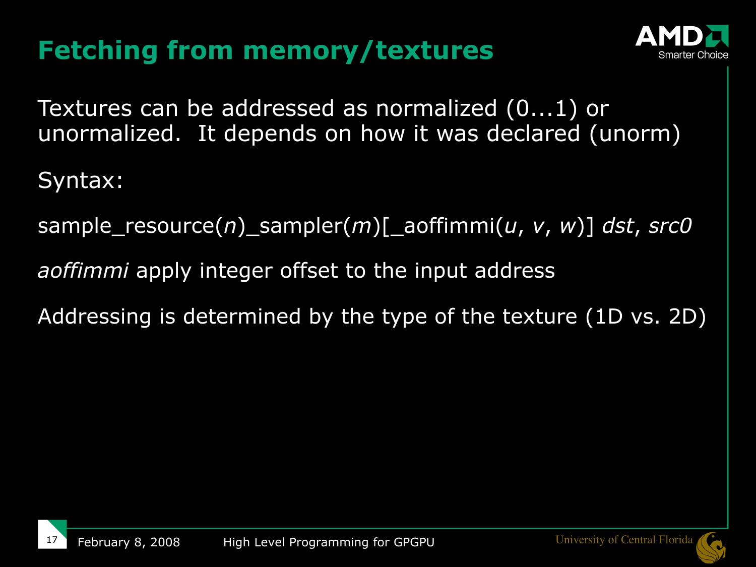# **Fetching from memory/textures**



Textures can be addressed as normalized (0...1) or unormalized. It depends on how it was declared (unorm)

Syntax:

sample\_resource(*n*)\_sampler(*m*)[\_aoffimmi(*u*, *v*, *w*)] *dst*, *src0*

*aoffimmi* apply integer offset to the input address

Addressing is determined by the type of the texture (1D vs. 2D)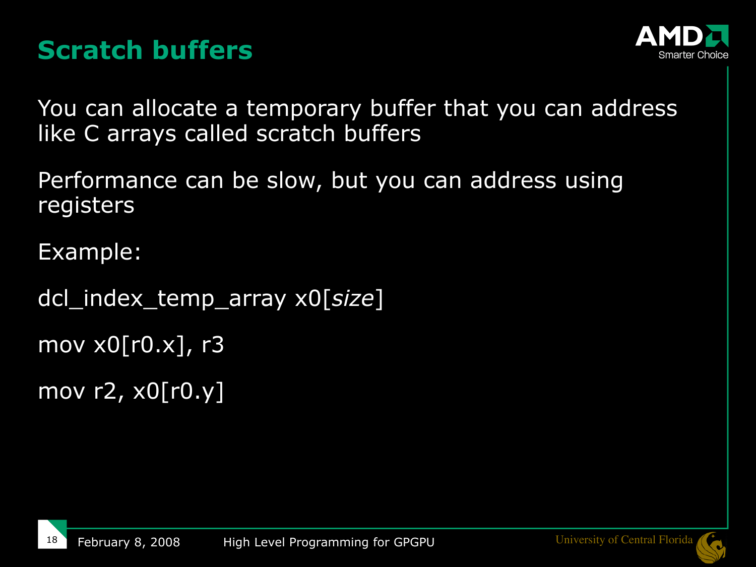## **Scratch buffers**



You can allocate a temporary buffer that you can address like C arrays called scratch buffers

Performance can be slow, but you can address using registers

Example:

dcl\_index\_temp\_array x0[*size*]

mov x0[r0.x], r3

mov r2, x0[r0.y]

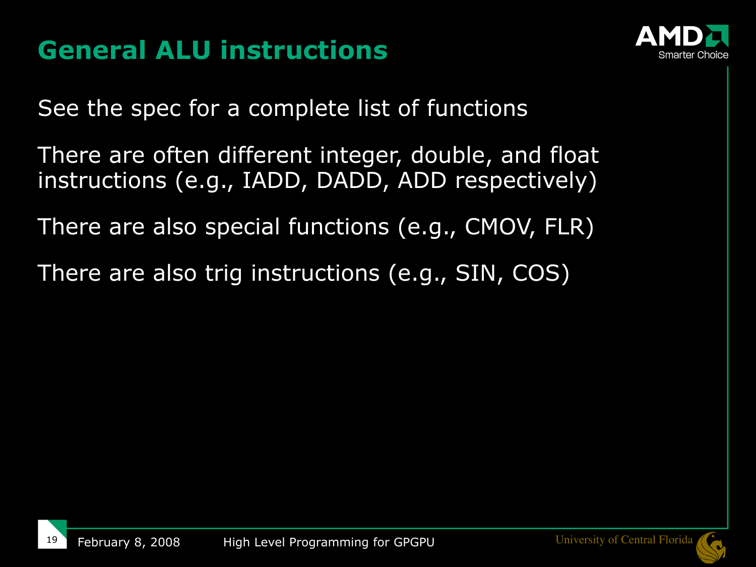## **General ALU instructions**



See the spec for a complete list of functions

- There are often different integer, double, and float instructions (e.g., IADD, DADD, ADD respectively)
- There are also special functions (e.g., CMOV, FLR)
- There are also trig instructions (e.g., SIN, COS)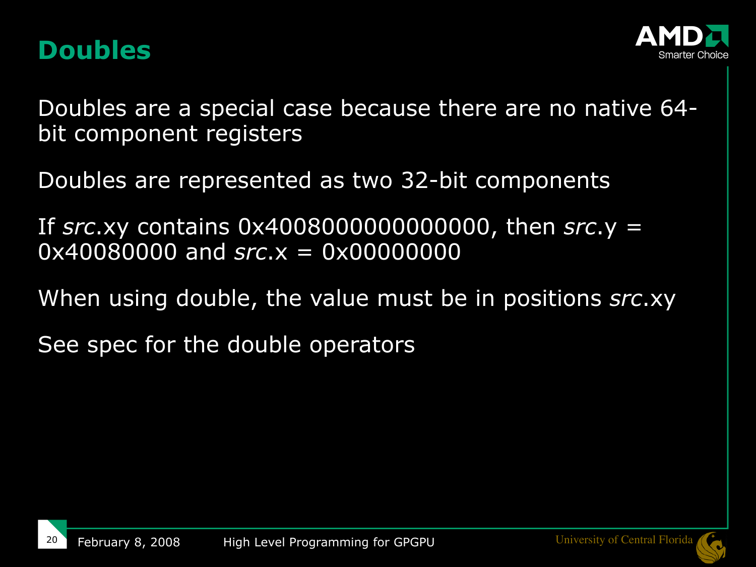#### **Doubles**



Doubles are a special case because there are no native 64 bit component registers

Doubles are represented as two 32-bit components

If *src*.xy contains 0x4008000000000000, then *src*.y = 0x40080000 and *src*.x = 0x00000000

When using double, the value must be in positions *src*.xy

See spec for the double operators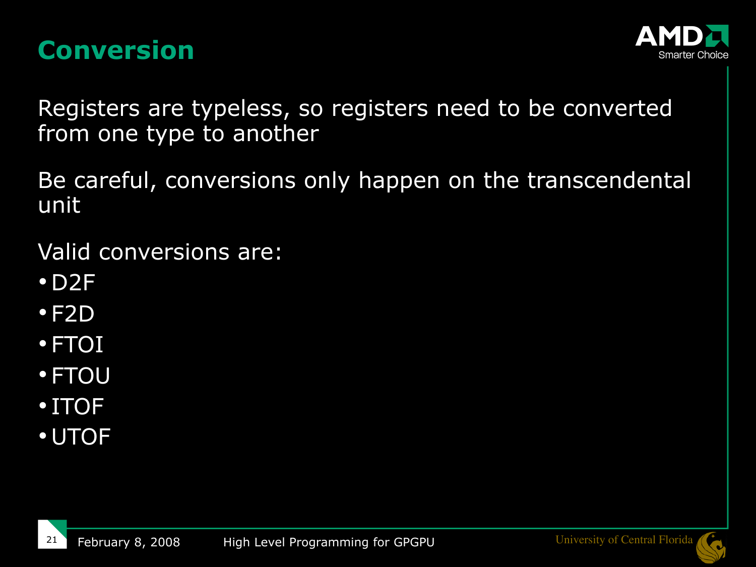#### **Conversion**



Registers are typeless, so registers need to be converted from one type to another

Be careful, conversions only happen on the transcendental unit

Valid conversions are:

- $\cdot$  D2F
- $\cdot$ F2D
- FTOI
- FTOU
- ITOF
- UTOF

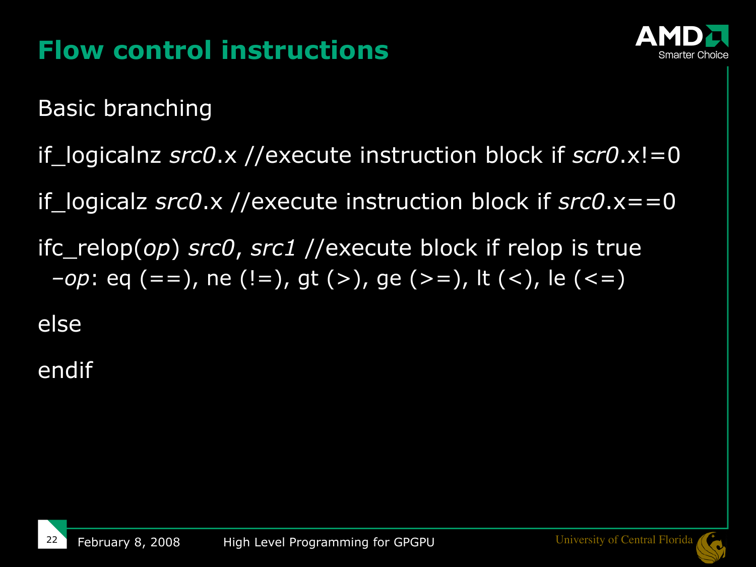

## **Flow control instructions**

Basic branching

if logicalnz *src0*.x //execute instruction block if *scr0*.x!=0

if\_logicalz *src0*.x //execute instruction block if *src0*.x==0

ifc\_relop(*op*) *src0*, *src1* //execute block if relop is true *–op*: eq (==), ne (!=), gt (>), ge (>=), lt (<), le (<=)

else

endif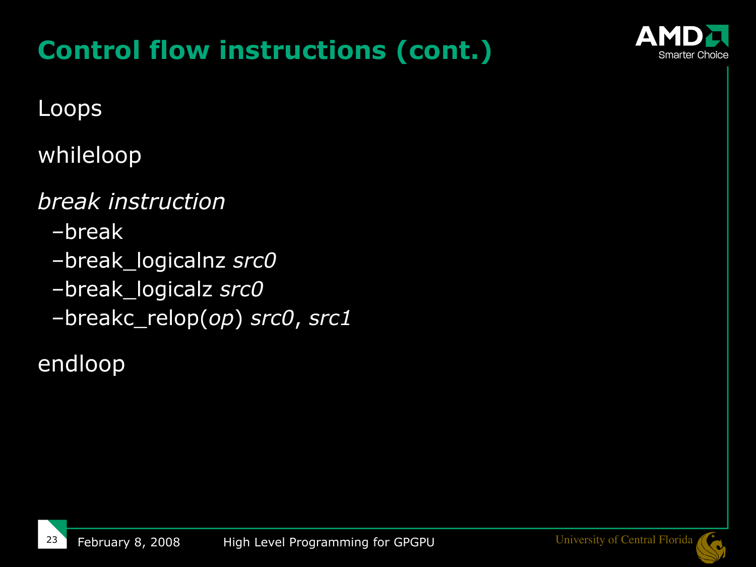# **Control flow instructions (cont.)**



#### Loops

#### whileloop

#### *break instruction*

- *–*break
- *–*break\_logicalnz *src0*
- *–*break\_logicalz *src0*
- *–*breakc\_relop(*op*) *src0*, *src1*

#### endloop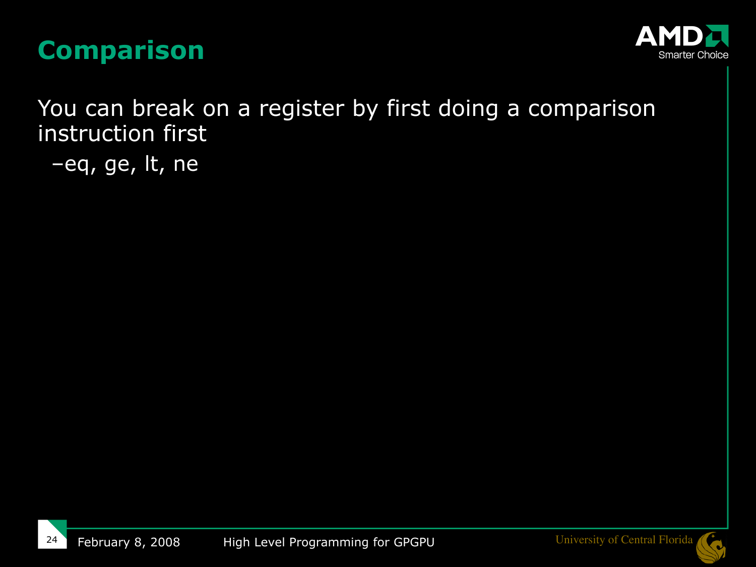



You can break on a register by first doing a comparison instruction first

–eq, ge, lt, ne



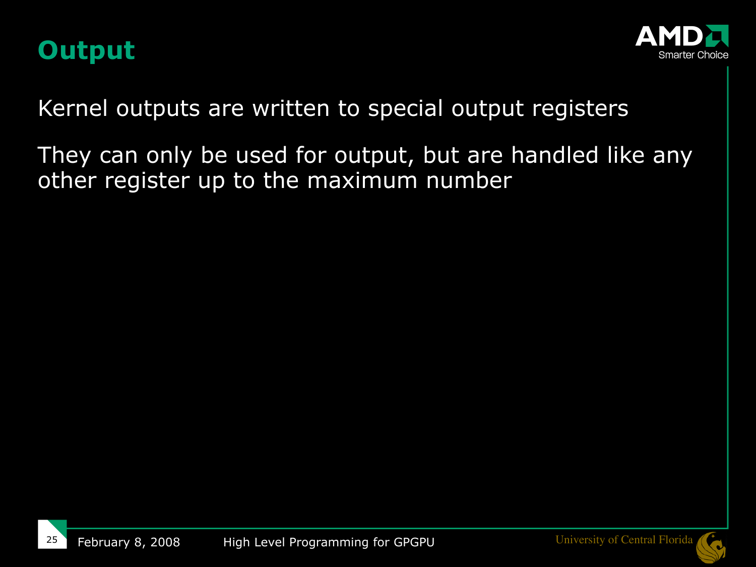



Kernel outputs are written to special output registers

They can only be used for output, but are handled like any other register up to the maximum number

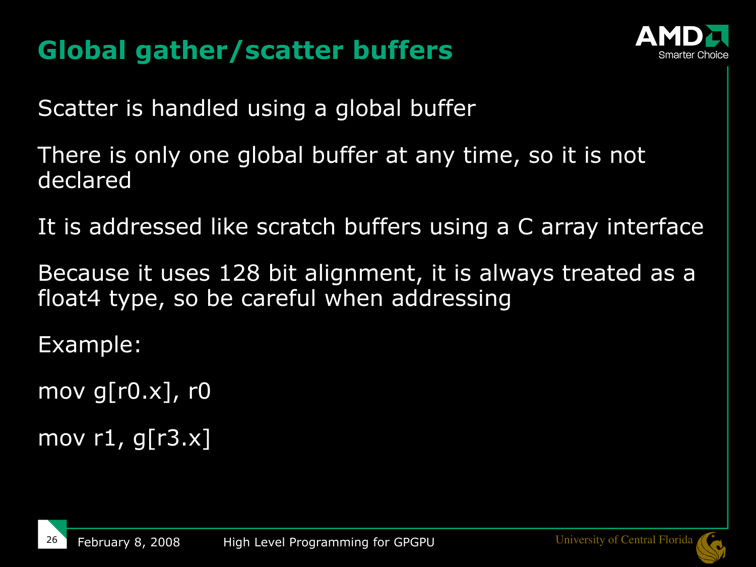## **Global gather/scatter buffers**



Scatter is handled using a global buffer

There is only one global buffer at any time, so it is not declared

It is addressed like scratch buffers using a C array interface

Because it uses 128 bit alignment, it is always treated as a float4 type, so be careful when addressing

Example:

mov g[ $r0.x$ ],  $r0$ 

mov  $r1$ , g[ $r3.x$ ]